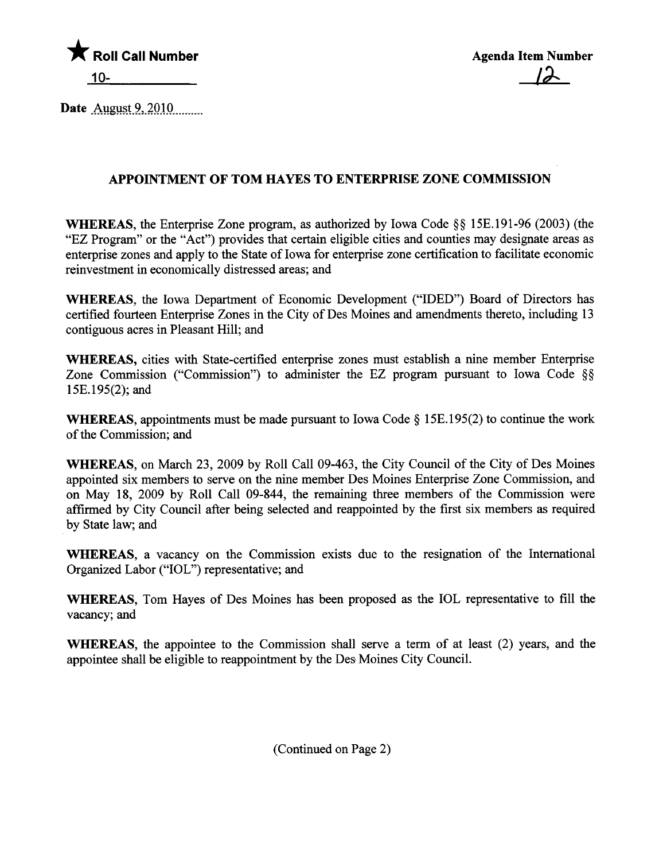

Date August  $9,2010$ 

## APPOINTMENT OF TOM HAYES TO ENTERPRISE ZONE COMMISSION

WHEREAS, the Enterprise Zone program, as authorized by Iowa Code §§ 15E.191-96 (2003) (the "EZ Program" or the "Act") provides that certain eligible cities and counties may designate areas as enterprise zones and apply to the State of Iowa for enterprise zone certification to faciltate economic reinvestment in economically distressed areas; and

WHEREAS, the Iowa Deparment of Economic Development ("IDED") Board of Directors has certified fourteen Enterprise Zones in the City of Des Moines and amendments thereto, including 13 contiguous acres in Pleasant Hil; and

WHEREAS, cities with State-certified enterprise zones must establish a nine member Enterprise Zone Commission ("Commission") to administer the EZ program pursuant to Iowa Code §§ 15E.195(2); and

**WHEREAS, appointments must be made pursuant to Iowa Code**  $\S$  **15E.195(2) to continue the work** of the Commission; and

WHEREAS, on March 23, 2009 by Roll Call 09-463, the City Council of the City of Des Moines appointed six members to serve on the nine member Des Moines Enterprise Zone Commission, and on May 18, 2009 by Roll Call 09-844, the remaining thee members of the Commission were affirmed by City Council after being selected and reappointed by the first six members as required by State law; and

WHEREAS, a vacancy on the Commission exists due to the resignation of the International Organized Labor ("IOL") representative; and

WHEREAS, Tom Hayes of Des Moines has been proposed as the IOL representative to fill the vacancy; and

WHEREAS, the appointee to the Commission shall serve a term of at least (2) years, and the appointee shall be eligible to reappointment by the Des Moines City Council.

(Continued on Page 2)